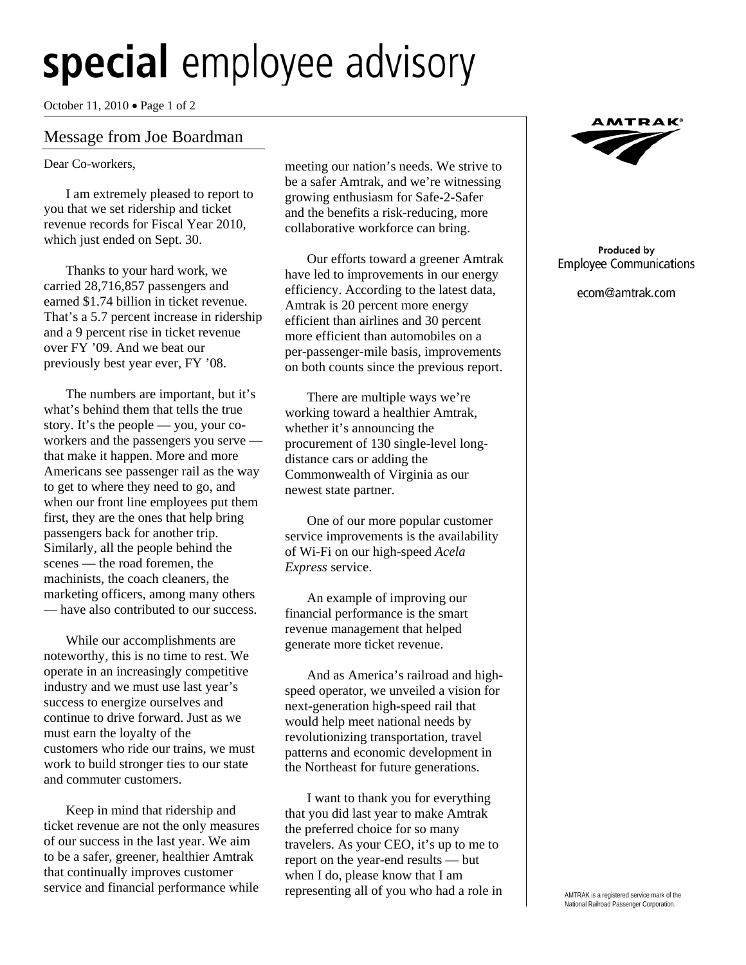## **special** employee advisory

October 11, 2010 Page 1 of 2

## Message from Joe Boardman

Dear Co-workers,

İ

I am extremely pleased to report to you that we set ridership and ticket revenue records for Fiscal Year 2010, which just ended on Sept. 30.

 Thanks to your hard work, we carried 28,716,857 passengers and earned \$1.74 billion in ticket revenue. That's a 5.7 percent increase in ridership and a 9 percent rise in ticket revenue over FY '09. And we beat our previously best year ever, FY '08.

 The numbers are important, but it's what's behind them that tells the true story. It's the people — you, your coworkers and the passengers you serve that make it happen. More and more Americans see passenger rail as the way to get to where they need to go, and when our front line employees put them first, they are the ones that help bring passengers back for another trip. Similarly, all the people behind the scenes — the road foremen, the machinists, the coach cleaners, the marketing officers, among many others — have also contributed to our success.

 While our accomplishments are noteworthy, this is no time to rest. We operate in an increasingly competitive industry and we must use last year's success to energize ourselves and continue to drive forward. Just as we must earn the loyalty of the customers who ride our trains, we must work to build stronger ties to our state and commuter customers.

 Keep in mind that ridership and ticket revenue are not the only measures of our success in the last year. We aim to be a safer, greener, healthier Amtrak that continually improves customer service and financial performance while

meeting our nation's needs. We strive to be a safer Amtrak, and we're witnessing growing enthusiasm for Safe-2-Safer and the benefits a risk-reducing, more collaborative workforce can bring.

 Our efforts toward a greener Amtrak have led to improvements in our energy efficiency. According to the latest data, Amtrak is 20 percent more energy efficient than airlines and 30 percent more efficient than automobiles on a per-passenger-mile basis, improvements on both counts since the previous report.

 There are multiple ways we're working toward a healthier Amtrak, whether it's announcing the procurement of 130 single-level longdistance cars or adding the Commonwealth of Virginia as our newest state partner.

 One of our more popular customer service improvements is the availability of Wi-Fi on our high-speed *Acela Express* service.

 An example of improving our financial performance is the smart revenue management that helped generate more ticket revenue.

 And as America's railroad and highspeed operator, we unveiled a vision for next-generation high-speed rail that would help meet national needs by revolutionizing transportation, travel patterns and economic development in the Northeast for future generations.

 I want to thank you for everything that you did last year to make Amtrak the preferred choice for so many travelers. As your CEO, it's up to me to report on the year-end results — but when I do, please know that I am representing all of you who had a role in



## Produced by **Employee Communications**

ecom@amtrak.com